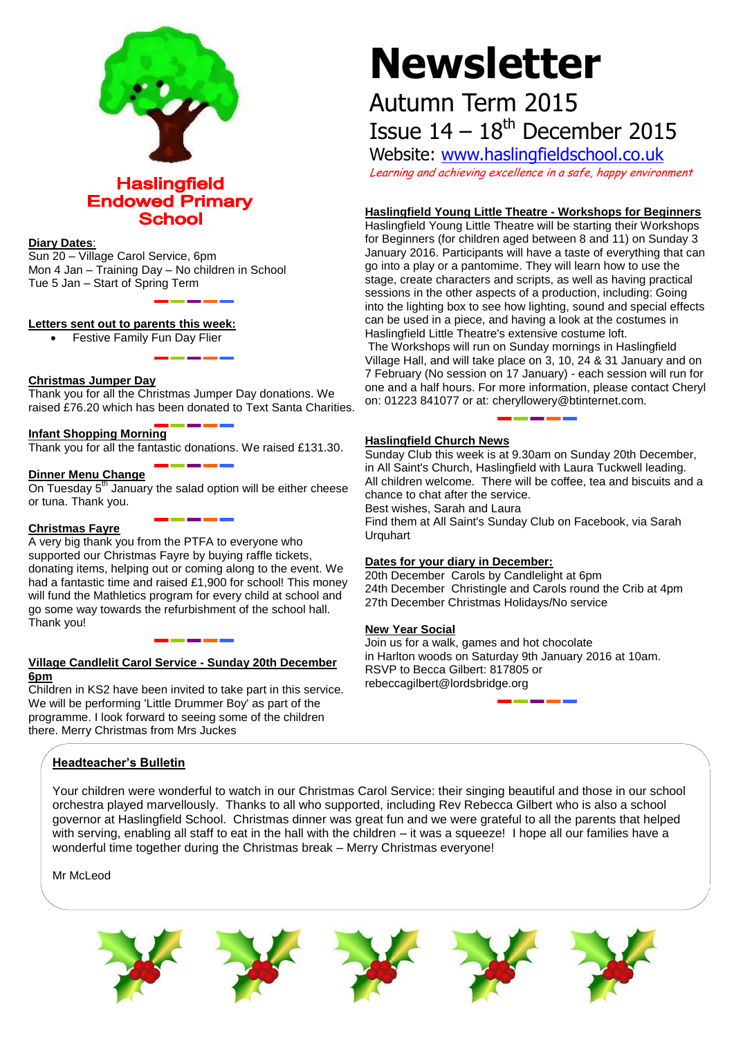

**Haslingfield Endowed Primary School** 

# **Diary Dates**:

Sun 20 – Village Carol Service, 6pm Mon 4 Jan – Training Day – No children in School Tue 5 Jan – Start of Spring Term

# **Letters sent out to parents this week:**

Festive Family Fun Day Flier

# **Christmas Jumper Day**

Thank you for all the Christmas Jumper Day donations. We raised £76.20 which has been donated to Text Santa Charities.

# **Infant Shopping Morning**

Thank you for all the fantastic donations. We raised £131.30.

## **Dinner Menu Change**

On Tuesday 5<sup>th</sup> January the salad option will be either cheese or tuna. Thank you.

#### **Christmas Fayre**

A very big thank you from the PTFA to everyone who supported our Christmas Fayre by buying raffle tickets, donating items, helping out or coming along to the event. We had a fantastic time and raised £1,900 for school! This money will fund the Mathletics program for every child at school and go some way towards the refurbishment of the school hall. Thank you!

# **Village Candlelit Carol Service - Sunday 20th December 6pm**

Children in KS2 have been invited to take part in this service. We will be performing 'Little Drummer Boy' as part of the programme. I look forward to seeing some of the children there. Merry Christmas from Mrs Juckes

# **Headteacher's Bulletin**

Your children were wonderful to watch in our Christmas Carol Service: their singing beautiful and those in our school orchestra played marvellously. Thanks to all who supported, including Rev Rebecca Gilbert who is also a school governor at Haslingfield School. Christmas dinner was great fun and we were grateful to all the parents that helped with serving, enabling all staff to eat in the hall with the children – it was a squeeze! I hope all our families have a wonderful time together during the Christmas break – Merry Christmas everyone!

Mr McLeod

# **Newsletter**

# Autumn Term 2015

Issue  $14 - 18$ <sup>th</sup> December 2015

Website: [www.haslingfieldschool.co.uk](http://www.haslingfieldschool.co.uk/) Learning and achieving excellence in a safe, happy environment

# **Haslingfield Young Little Theatre - Workshops for Beginners**

Haslingfield Young Little Theatre will be starting their Workshops for Beginners (for children aged between 8 and 11) on Sunday 3 January 2016. Participants will have a taste of everything that can go into a play or a pantomime. They will learn how to use the stage, create characters and scripts, as well as having practical sessions in the other aspects of a production, including: Going into the lighting box to see how lighting, sound and special effects can be used in a piece, and having a look at the costumes in Haslingfield Little Theatre's extensive costume loft. The Workshops will run on Sunday mornings in Haslingfield Village Hall, and will take place on 3, 10, 24 & 31 January and on 7 February (No session on 17 January) - each session will run for one and a half hours. For more information, please contact Cheryl on: 01223 841077 or at: cheryllowery@btinternet.com.

# **Haslingfield Church News**

Sunday Club this week is at 9.30am on Sunday 20th December, in All Saint's Church, Haslingfield with Laura Tuckwell leading. All children welcome. There will be coffee, tea and biscuits and a chance to chat after the service. Best wishes, Sarah and Laura Find them at All Saint's Sunday Club on Facebook, via Sarah

**Urquhart** 

# **Dates for your diary in December:**

20th December Carols by Candlelight at 6pm 24th December Christingle and Carols round the Crib at 4pm 27th December Christmas Holidays/No service

#### **New Year Social**

Join us for a walk, games and hot chocolate in Harlton woods on Saturday 9th January 2016 at 10am. RSVP to Becca Gilbert: 817805 or rebeccagilbert@lordsbridge.org